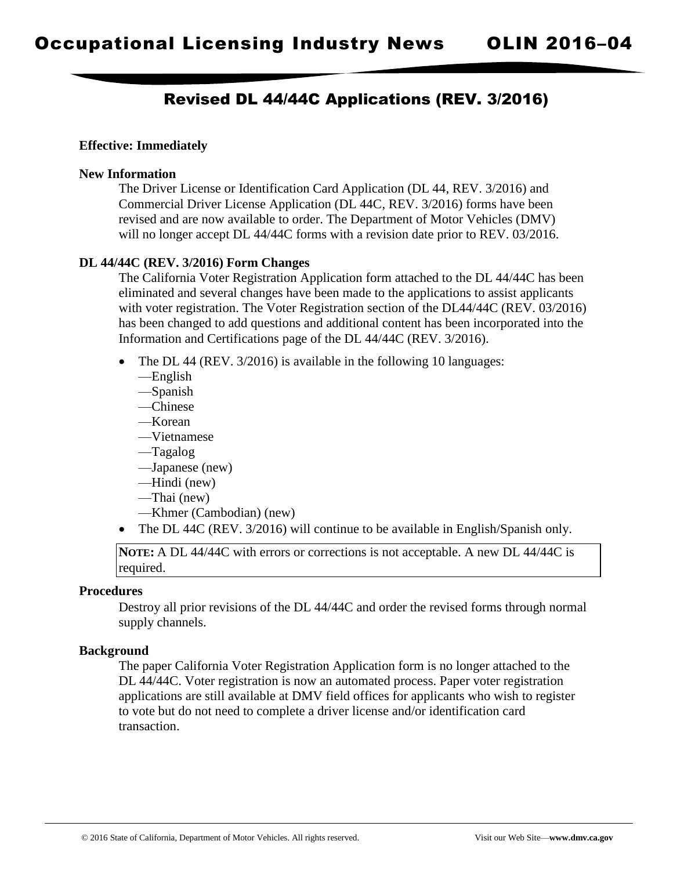# Revised DL 44/44C Applications (REV. 3/2016)

## **Effective: Immediately**

#### **New Information**

The Driver License or Identification Card Application (DL 44, REV. 3/2016) and Commercial Driver License Application (DL 44C, REV. 3/2016) forms have been revised and are now available to order. The Department of Motor Vehicles (DMV) will no longer accept DL 44/44C forms with a revision date prior to REV. 03/2016.

## **DL 44/44C (REV. 3/2016) Form Changes**

The California Voter Registration Application form attached to the DL 44/44C has been eliminated and several changes have been made to the applications to assist applicants with voter registration. The Voter Registration section of the DL44/44C (REV. 03/2016) has been changed to add questions and additional content has been incorporated into the Information and Certifications page of the DL 44/44C (REV. 3/2016).

- The DL 44 (REV. 3/2016) is available in the following 10 languages:
	- —English
	- —Spanish
	- —Chinese
	- —Korean
	- —Vietnamese
	- —Tagalog
	- —Japanese (new)
	- —Hindi (new)
	- —Thai (new)
	- —Khmer (Cambodian) (new)
- The DL 44C (REV. 3/2016) will continue to be available in English/Spanish only.

**NOTE:** A DL 44/44C with errors or corrections is not acceptable. A new DL 44/44C is required.

#### **Procedures**

Destroy all prior revisions of the DL 44/44C and order the revised forms through normal supply channels.

#### **Background**

The paper California Voter Registration Application form is no longer attached to the DL 44/44C. Voter registration is now an automated process. Paper voter registration applications are still available at DMV field offices for applicants who wish to register to vote but do not need to complete a driver license and/or identification card transaction.